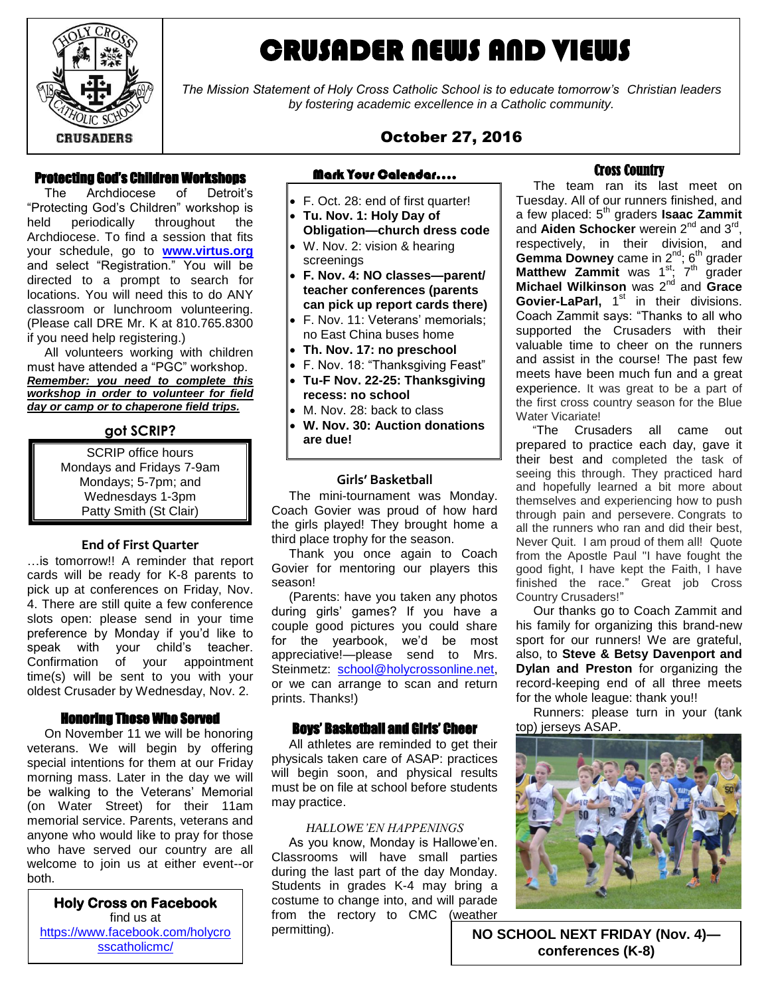

# CRUSADER NEWS AND VIEWS

*The Mission Statement of Holy Cross Catholic School is to educate tomorrow's Christian leaders by fostering academic excellence in a Catholic community.*

# October 27, 2016

#### Protecting God's Children Workshops

 The Archdiocese of Detroit's "Protecting God's Children" workshop is held periodically throughout the Archdiocese. To find a session that fits your schedule, go to **[www.virtus.org](http://www.virtus.org/)** and select "Registration." You will be directed to a prompt to search for locations. You will need this to do ANY classroom or lunchroom volunteering. (Please call DRE Mr. K at 810.765.8300 if you need help registering.)

 All volunteers working with children must have attended a "PGC" workshop. *Remember: you need to complete this workshop in order to volunteer for field day or camp or to chaperone field trips.*

#### **got SCRIP?**

SCRIP office hours Mondays and Fridays 7-9am Mondays; 5-7pm; and Wednesdays 1-3pm Patty Smith (St Clair)

#### **End of First Quarter**

…is tomorrow!! A reminder that report cards will be ready for K-8 parents to pick up at conferences on Friday, Nov. 4. There are still quite a few conference slots open: please send in your time preference by Monday if you'd like to speak with your child's teacher. Confirmation of your appointment time(s) will be sent to you with your oldest Crusader by Wednesday, Nov. 2.

#### Honoring Those Who Served

 On November 11 we will be honoring veterans. We will begin by offering special intentions for them at our Friday morning mass. Later in the day we will be walking to the Veterans' Memorial (on Water Street) for their 11am memorial service. Parents, veterans and anyone who would like to pray for those who have served our country are all welcome to join us at either event--or both.

 **Holy Cross on Facebook**  find us at  $\frac{100}{15}$  [sscatholicmc/](https://www.facebook.com/holycrosscatholicmc/) [https://www.facebook.com/holycro](https://www.facebook.com/holycrosscatholicmc/)

# Mark Your Calendar….

- F. Oct. 28: end of first quarter!
- **Tu. Nov. 1: Holy Day of Obligation—church dress code**
- W. Nov. 2: vision & hearing screenings
- **F. Nov. 4: NO classes—parent/ teacher conferences (parents can pick up report cards there)**
- F. Nov. 11: Veterans' memorials; no East China buses home
- **Th. Nov. 17: no preschool**
- F. Nov. 18: "Thanksgiving Feast"
- **Tu-F Nov. 22-25: Thanksgiving recess: no school**
- M. Nov. 28: back to class
- **W. Nov. 30: Auction donations are due!**

#### **Girls' Basketball**

 The mini-tournament was Monday. Coach Govier was proud of how hard the girls played! They brought home a third place trophy for the season.

 Thank you once again to Coach Govier for mentoring our players this season!

 (Parents: have you taken any photos during girls' games? If you have a couple good pictures you could share for the yearbook, we'd be most appreciative!—please send to Mrs. Steinmetz: [school@holycrossonline.net,](mailto:school@holycrossonline.net) or we can arrange to scan and return prints. Thanks!)

#### Boys' Basketball and Girls' Cheer

 All athletes are reminded to get their physicals taken care of ASAP: practices will begin soon, and physical results must be on file at school before students may practice.

#### *HALLOWE'EN HAPPENINGS*

 As you know, Monday is Hallowe'en. Classrooms will have small parties during the last part of the day Monday. Students in grades K-4 may bring a costume to change into, and will parade from the rectory to CMC (weather permitting).

#### Cross Country

 The team ran its last meet on Tuesday. All of our runners finished, and a few placed: 5th graders **Isaac Zammit**  and Aiden Schocker werein 2<sup>nd</sup> and 3<sup>rd</sup>, respectively, in their division, and Gemma Downey came in 2<sup>nd</sup>; 6<sup>th</sup> grader **Matthew Zammit** was 1<sup>st</sup>; 7<sup>th</sup> grader **Michael Wilkinson** was 2<sup>nd</sup> and Grace Govier-LaParl, 1<sup>st</sup> in their divisions. Coach Zammit says: "Thanks to all who supported the Crusaders with their valuable time to cheer on the runners and assist in the course! The past few meets have been much fun and a great experience. It was great to be a part of the first cross country season for the Blue Water Vicariate!

 "The Crusaders all came out prepared to practice each day, gave it their best and completed the task of seeing this through. They practiced hard and hopefully learned a bit more about themselves and experiencing how to push through pain and persevere. Congrats to all the runners who ran and did their best, Never Quit. I am proud of them all! Quote from the Apostle Paul "I have fought the good fight, I have kept the Faith, I have finished the race." Great iob Cross Country Crusaders!"

 Our thanks go to Coach Zammit and his family for organizing this brand-new sport for our runners! We are grateful, also, to **Steve & Betsy Davenport and Dylan and Preston** for organizing the record-keeping end of all three meets for the whole league: thank you!!

 Runners: please turn in your (tank top) jerseys ASAP.



**NO SCHOOL NEXT FRIDAY (Nov. 4) conferences (K-8)**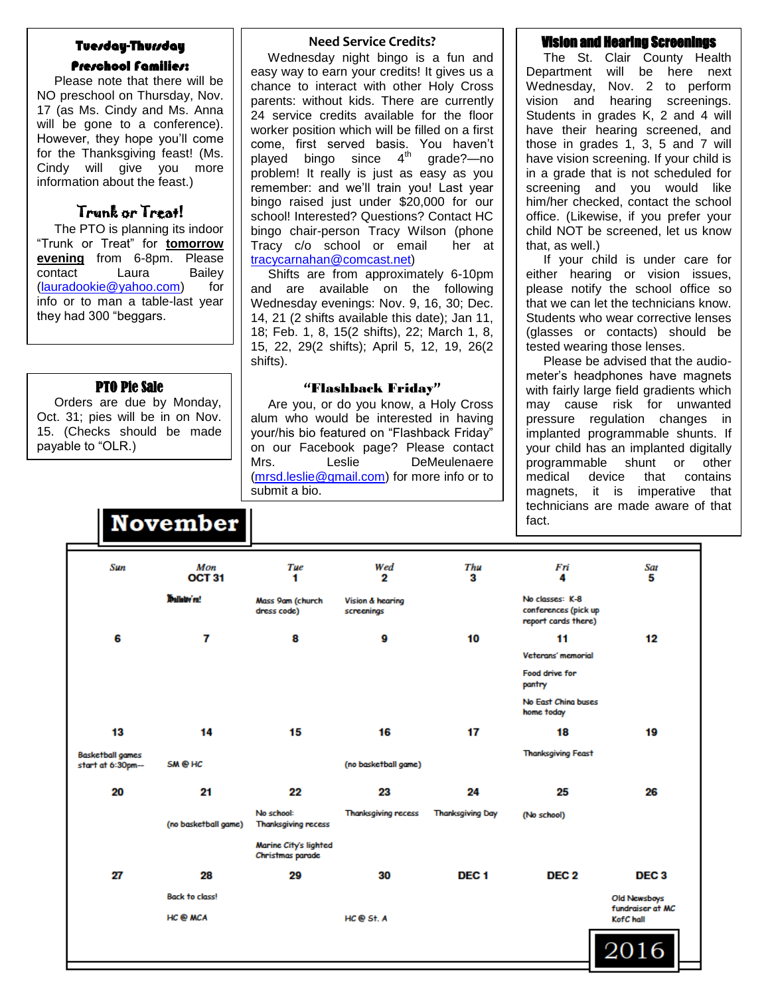### Tuesday-Thursday

#### Preschool Families:

 Please note that there will be NO preschool on Thursday, Nov. 17 (as Ms. Cindy and Ms. Anna will be gone to a conference). However, they hope you'll come for the Thanksgiving feast! (Ms. Cindy will give you more information about the feast.)

## Trunk or Treat!

 The PTO is planning its indoor "Trunk or Treat" for **tomorrow evening** from 6-8pm. Please contact Laura Bailey [\(lauradookie@yahoo.com\)](mailto:lauradookie@yahoo.com) for info or to man a table-last year they had 300 "beggars.

#### PTO Pie Sale

 Orders are due by Monday, Oct. 31; pies will be in on Nov. 15. (Checks should be made payable to "OLR.)

**November** 

#### **Need Service Credits?**

 Wednesday night bingo is a fun and easy way to earn your credits! It gives us a chance to interact with other Holy Cross parents: without kids. There are currently 24 service credits available for the floor worker position which will be filled on a first come, first served basis. You haven't played bingo since 4<sup>th</sup> grade?—no problem! It really is just as easy as you remember: and we'll train you! Last year bingo raised just under \$20,000 for our school! Interested? Questions? Contact HC bingo chair-person Tracy Wilson (phone Tracy c/o school or email her at [tracycarnahan@comcast.net\)](mailto:tracycarnahan@comcast.net)

 Shifts are from approximately 6-10pm and are available on the following Wednesday evenings: Nov. 9, 16, 30; Dec. 14, 21 (2 shifts available this date); Jan 11, 18; Feb. 1, 8, 15(2 shifts), 22; March 1, 8, 15, 22, 29(2 shifts); April 5, 12, 19, 26(2 shifts).

#### **"**Flashback Friday**"**

 Are you, or do you know, a Holy Cross alum who would be interested in having your/his bio featured on "Flashback Friday" on our Facebook page? Please contact Mrs. Leslie DeMeulenaere [\(mrsd.leslie@gmail.com\)](mailto:mrsd.leslie@gmail.com) for more info or to submit a bio.

#### **Vision and Hearing Screening**

 The St. Clair County Health Department will be here next Wednesday, Nov. 2 to perform vision and hearing screenings. Students in grades K, 2 and 4 will have their hearing screened, and those in grades 1, 3, 5 and 7 will have vision screening. If your child is in a grade that is not scheduled for screening and you would like him/her checked, contact the school office. (Likewise, if you prefer your child NOT be screened, let us know that, as well.)

 If your child is under care for either hearing or vision issues, please notify the school office so that we can let the technicians know. Students who wear corrective lenses (glasses or contacts) should be tested wearing those lenses.

 Please be advised that the audiometer's headphones have magnets with fairly large field gradients which may cause risk for unwanted pressure regulation changes in implanted programmable shunts. If your child has an implanted digitally programmable shunt or other medical device that contains magnets, it is imperative that technicians are made aware of that fact.

| Sun                     | Mon<br>OCT <sub>31</sub> | Tue<br>1                                  | Wed<br>2                       | Thu<br>3                | Fri<br>4                                                       | Sat<br>5                         |
|-------------------------|--------------------------|-------------------------------------------|--------------------------------|-------------------------|----------------------------------------------------------------|----------------------------------|
|                         | <b>Malletty'ru!</b>      | Mass 9am (church<br>dress code)           | Vision & hearing<br>screenings |                         | No classes: K-8<br>conferences (pick up<br>report cards there) |                                  |
| 6                       | 7                        | 8                                         | 9                              | 10                      | 11                                                             | 12                               |
|                         |                          |                                           |                                |                         | Veterans' memorial                                             |                                  |
|                         |                          |                                           |                                |                         | Food drive for<br>pantry                                       |                                  |
|                         |                          |                                           |                                |                         | No East China buses<br>home today                              |                                  |
| 13                      | 14                       | 15                                        | 16                             | 17                      | 18                                                             | 19                               |
| <b>Basketball games</b> |                          |                                           |                                |                         | <b>Thanksgiving Feast</b>                                      |                                  |
| start at 6:30pm--       | SM @ HC                  |                                           | (no basketball game)           |                         |                                                                |                                  |
| 20                      | 21                       | 22                                        | 23                             | 24                      | 25                                                             | 26                               |
|                         | (no basketball game)     | No school:<br><b>Thanksgiving recess</b>  | <b>Thanksgiving recess</b>     | <b>Thanksgiving Day</b> | (No school)                                                    |                                  |
|                         |                          | Marine City's lighted<br>Christmas parade |                                |                         |                                                                |                                  |
| 27                      | 28                       | 29                                        | 30                             | DEC <sub>1</sub>        | DEC <sub>2</sub>                                               | DEC <sub>3</sub>                 |
|                         | <b>Back to class!</b>    |                                           |                                |                         |                                                                | Old Newsboys<br>fundraiser at MC |
|                         | HC @ MCA                 |                                           | HC @ St. A                     |                         |                                                                | KofC hall                        |
|                         |                          |                                           |                                |                         |                                                                |                                  |
|                         |                          |                                           |                                |                         |                                                                | 2016                             |